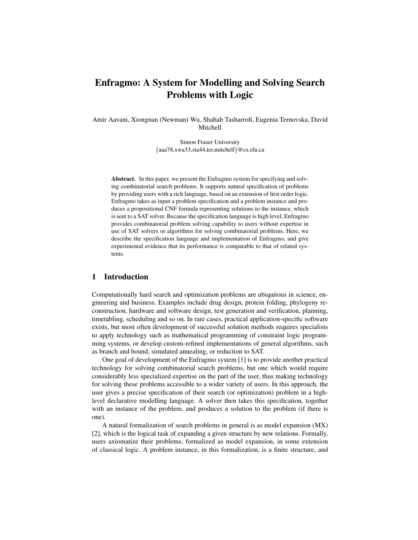# Enfragmo: A System for Modelling and Solving Search Problems with Logic

Amir Aavani, Xiongnan (Newman) Wu, Shahab Tasharrofi, Eugenia Ternovska, David Mitchell

> Simon Fraser University {aaa78,xwa33,sta44,ter,mitchell}@cs.sfu.ca

Abstract. In this paper, we present the Enfragmo system for specifying and solving combinatorial search problems. It supports natural specification of problems by providing users with a rich language, based on an extension of first order logic. Enfragmo takes as input a problem specification and a problem instance and produces a propositional CNF formula representing solutions to the instance, which is sent to a SAT solver. Because the specification language is high level, Enfragmo provides combinatorial problem solving capability to users without expertise in use of SAT solvers or algorithms for solving combinatorial problems. Here, we describe the specification language and implementation of Enfragmo, and give experimental evidence that its performance is comparable to that of related systems.

# 1 Introduction

Computationally hard search and optimization problems are ubiquitous in science, engineering and business. Examples include drug design, protein folding, phylogeny reconstruction, hardware and software design, test generation and verification, planning, timetabling, scheduling and so on. In rare cases, practical application-specific software exists, but most often development of successful solution methods requires specialists to apply technology such as mathematical programming of constraint logic programming systems, or develop custom-refined implementations of general algorithms, such as branch and bound, simulated annealing, or reduction to SAT.

One goal of development of the Enfragmo system [1] is to provide another practical technology for solving combinatorial search problems, but one which would require considerably less specialized expertise on the part of the user, thus making technology for solving these problems accessible to a wider variety of users. In this approach, the user gives a precise specification of their search (or optimization) problem in a highlevel declarative modelling language. A solver then takes this specification, together with an instance of the problem, and produces a solution to the problem (if there is one).

A natural formalization of search problems in general is as model expansion (MX) [2], which is the logical task of expanding a given structure by new relations. Formally, users axiomatize their problems, formalized as model expansion, in some extension of classical logic. A problem instance, in this formalization, is a finite structure, and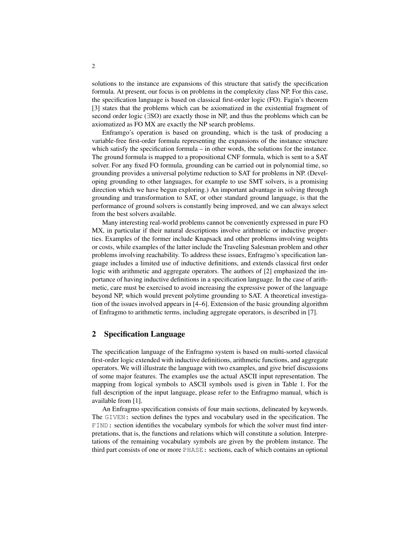solutions to the instance are expansions of this structure that satisfy the specification formula. At present, our focus is on problems in the complexity class NP. For this case, the specification language is based on classical first-order logic (FO). Fagin's theorem [3] states that the problems which can be axiomatized in the existential fragment of second order logic (∃SO) are exactly those in NP, and thus the problems which can be axiomatized as FO MX are exactly the NP search problems.

Enframgo's operation is based on grounding, which is the task of producing a variable-free first-order formula representing the expansions of the instance structure which satisfy the specification formula – in other words, the solutions for the instance. The ground formula is mapped to a propositional CNF formula, which is sent to a SAT solver. For any fixed FO formula, grounding can be carried out in polynomial time, so grounding provides a universal polytime reduction to SAT for problems in NP. (Developing grounding to other languages, for example to use SMT solvers, is a promising direction which we have begun exploring.) An important advantage in solving through grounding and transformation to SAT, or other standard ground language, is that the performance of ground solvers is constantly being improved, and we can always select from the best solvers available.

Many interesting real-world problems cannot be conveniently expressed in pure FO MX, in particular if their natural descriptions involve arithmetic or inductive properties. Examples of the former include Knapsack and other problems involving weights or costs, while examples of the latter include the Traveling Salesman problem and other problems involving reachability. To address these issues, Enfragmo's specification language includes a limited use of inductive definitions, and extends classical first order logic with arithmetic and aggregate operators. The authors of [2] emphasized the importance of having inductive definitions in a specification language. In the case of arithmetic, care must be exercised to avoid increasing the expressive power of the language beyond NP, which would prevent polytime grounding to SAT. A theoretical investigation of the issues involved appears in [4–6]. Extension of the basic grounding algorithm of Enfragmo to arithmetic terms, including aggregate operators, is described in [7].

# 2 Specification Language

The specification language of the Enfragmo system is based on multi-sorted classical first-order logic extended with inductive definitions, arithmetic functions, and aggregate operators. We will illustrate the language with two examples, and give brief discussions of some major features. The examples use the actual ASCII input representation. The mapping from logical symbols to ASCII symbols used is given in Table 1. For the full description of the input language, please refer to the Enfragmo manual, which is available from [1].

An Enfragmo specification consists of four main sections, delineated by keywords. The GIVEN: section defines the types and vocabulary used in the specification. The FIND: section identifies the vocabulary symbols for which the solver must find interpretations, that is, the functions and relations which will constitute a solution. Interpretations of the remaining vocabulary symbols are given by the problem instance. The third part consists of one or more PHASE: sections, each of which contains an optional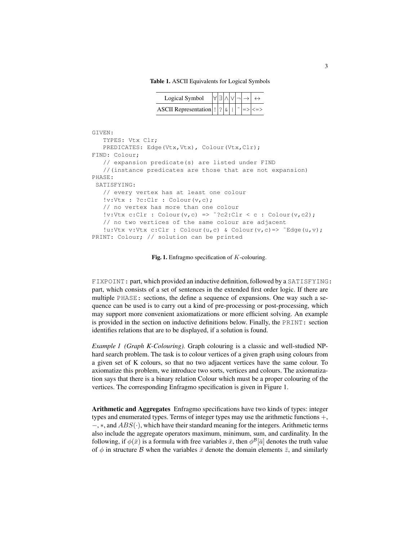Table 1. ASCII Equivalents for Logical Symbols

| Logical Symbol                 |  |  |  |  |
|--------------------------------|--|--|--|--|
| ASCII Representation $ ! ? $ & |  |  |  |  |

```
GIVEN:
  TYPES: Vtx Clr;
  PREDICATES: Edge(Vtx,Vtx), Colour(Vtx,Clr);
FIND: Colour;
  // expansion predicate(s) are listed under FIND
  //(instance predicates are those that are not expansion)
PHASE:
SATISFYING:
  // every vertex has at least one colour
  !v:Vtx : ?c:Clr : Colour(v,c);
  // no vertex has more than one colour
   !v:Vtx c:Clr : Colour(v,c) => ~?c2:Clr < c : Colour(v,c2);
  // no two vertices of the same colour are adjacent
   !u:Vtx v:Vtx c:Clr : Colour(u,c) & Colour(v,c) => kEdge(u,v);
PRINT: Colour; // solution can be printed
```
Fig. 1. Enfragmo specification of  $K$ -colouring.

FIXPOINT: part, which provided an inductive definition, followed by a SATISFYING: part, which consists of a set of sentences in the extended first order logic. If there are multiple PHASE: sections, the define a sequence of expansions. One way such a sequence can be used is to carry out a kind of pre-processing or post-processing, which may support more convenient axiomatizations or more efficient solving. An example is provided in the section on inductive definitions below. Finally, the PRINT: section identifies relations that are to be displayed, if a solution is found.

*Example 1 (Graph K-Colouring).* Graph colouring is a classic and well-studied NPhard search problem. The task is to colour vertices of a given graph using colours from a given set of K colours, so that no two adjacent vertices have the same colour. To axiomatize this problem, we introduce two sorts, vertices and colours. The axiomatization says that there is a binary relation Colour which must be a proper colouring of the vertices. The corresponding Enfragmo specification is given in Figure 1.

Arithmetic and Aggregates Enfragmo specifications have two kinds of types: integer types and enumerated types. Terms of integer types may use the arithmetic functions  $+,$ −, ∗, and ABS(·), which have their standard meaning for the integers. Arithmetic terms also include the aggregate operators maximum, minimum, sum, and cardinality. In the following, if  $\phi(\bar{x})$  is a formula with free variables  $\bar{x}$ , then  $\phi^{\mathcal{B}}[\bar{a}]$  denotes the truth value of  $\phi$  in structure B when the variables  $\bar{x}$  denote the domain elements  $\bar{z}$ , and similarly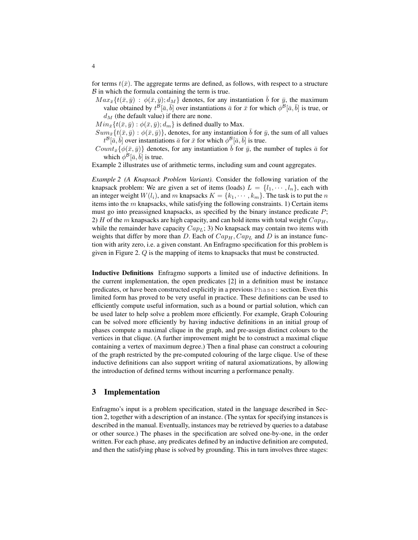for terms  $t(\bar{x})$ . The aggregate terms are defined, as follows, with respect to a structure  $\beta$  in which the formula containing the term is true.

 $Max_{\bar{x}}\{t(\bar{x},\bar{y}) : \phi(\bar{x},\bar{y}); d_M\}$  denotes, for any instantiation  $\bar{b}$  for  $\bar{y}$ , the maximum value obtained by  $t^{\vec{B}}[\bar{a},\bar{b}]$  over instantiations  $\bar{a}$  for  $\bar{x}$  for which  $\phi^{\vec{B}}[\bar{a},\bar{b}]$  is true, or  $d_M$  (the default value) if there are none.

 $Min_{\bar{x}}\{t(\bar{x},\bar{y}): \phi(\bar{x},\bar{y}); d_m\}$  is defined dually to Max.

 $Sum_{\bar{x}}\{t(\bar{x}, \bar{y}) : \phi(\bar{x}, \bar{y})\}$ , denotes, for any instantiation  $\bar{b}$  for  $\bar{y}$ , the sum of all values  $t^{\mathcal{B}}[\bar{a}, \bar{b}]$  over instantiations  $\bar{a}$  for  $\bar{x}$  for which  $\phi^{\mathcal{B}}[\bar{a}, \bar{b}]$  is true.

 $Count_{\bar{x}}\{\phi(\bar{x}, \bar{y})\}$  denotes, for any instantiation  $\bar{b}$  for  $\bar{y}$ , the number of tuples  $\bar{a}$  for which  $\phi^{\mathcal{B}}[\overline{a}, \overline{b}]$  is true.

Example 2 illustrates use of arithmetic terms, including sum and count aggregates.

*Example 2 (A Knapsack Problem Variant).* Consider the following variation of the knapsack problem: We are given a set of items (loads)  $L = \{l_1, \dots, l_n\}$ , each with an integer weight  $W(l_i)$ , and m knapsacks  $K = \{k_1, \dots, k_m\}$ . The task is to put the n items into the  $m$  knapsacks, while satisfying the following constraints. 1) Certain items must go into preassigned knapsacks, as specified by the binary instance predicate P; 2) H of the m knapsacks are high capacity, and can hold items with total weight  $Cap_H$ , while the remainder have capacity  $Cap<sub>L</sub>$ ; 3) No knapsack may contain two items with weights that differ by more than D. Each of  $Cap_H, Cap_L$  and D is an instance function with arity zero, i.e. a given constant. An Enfragmo specification for this problem is given in Figure 2. Q is the mapping of items to knapsacks that must be constructed.

Inductive Definitions Enfragmo supports a limited use of inductive definitions. In the current implementation, the open predicates [2] in a definition must be instance predicates, or have been constructed explicitly in a previous Phase: section. Even this limited form has proved to be very useful in practice. These definitions can be used to efficiently compute useful information, such as a bound or partial solution, which can be used later to help solve a problem more efficiently. For example, Graph Colouring can be solved more efficiently by having inductive definitions in an initial group of phases compute a maximal clique in the graph, and pre-assign distinct colours to the vertices in that clique. (A further improvement might be to construct a maximal clique containing a vertex of maximum degree.) Then a final phase can construct a colouring of the graph restricted by the pre-computed colouring of the large clique. Use of these inductive definitions can also support writing of natural axiomatizations, by allowing the introduction of defined terms without incurring a performance penalty.

#### 3 Implementation

Enfragmo's input is a problem specification, stated in the language described in Section 2, together with a description of an instance. (The syntax for specifying instances is described in the manual. Eventually, instances may be retrieved by queries to a database or other source.) The phases in the specification are solved one-by-one, in the order written. For each phase, any predicates defined by an inductive definition are computed, and then the satisfying phase is solved by grounding. This in turn involves three stages: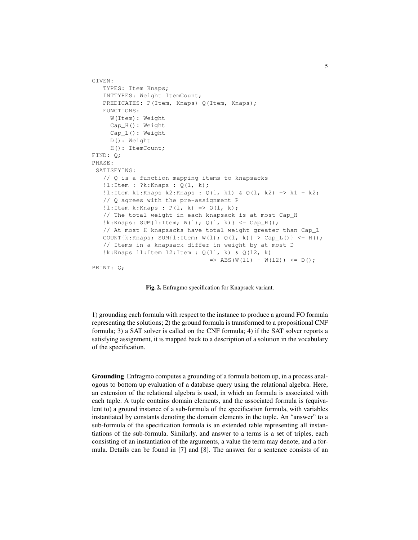```
GIVEN:
  TYPES: Item Knaps;
  INTTYPES: Weight ItemCount;
  PREDICATES: P(Item, Knaps) Q(Item, Knaps);
   FUNCTIONS:
     W(Item): Weight
     Cap_H(): Weight
     Cap_L(): Weight
     D(): Weight
     H(): ItemCount;
FIND: Q;
PHASE:
 SATISFYING:
   // Q is a function mapping items to knapsacks
   !l:Item : ?k:Knaps : Q(l, k);
   !l:Item k1:Knaps k2:Knaps : Q(1, k1) & Q(1, k2) => k1 = k2;
   // Q agrees with the pre-assignment P
   !l:Item k:Knaps : P(1, k) \Rightarrow Q(1, k);
   // The total weight in each knapsack is at most Cap_H
   !k:Knaps: SUM{l:Item; W(l); Q(l, k)} <= Cap_H();// At most H knapsacks have total weight greater than Cap_L
   COUNT{k:Knaps; SUM{l:Item; W(1); O(1, k)} > Cap L()} <= H();
   // Items in a knapsack differ in weight by at most D
   !k:Knaps l1:Item l2:Item : Q(l1, k) & Q(l2, k)
                                 \Rightarrow ABS(W(11) - W(12)) <= D();
PRINT: Q;
```
Fig. 2. Enfragmo specification for Knapsack variant.

1) grounding each formula with respect to the instance to produce a ground FO formula representing the solutions; 2) the ground formula is transformed to a propositional CNF formula; 3) a SAT solver is called on the CNF formula; 4) if the SAT solver reports a satisfying assignment, it is mapped back to a description of a solution in the vocabulary of the specification.

Grounding Enfragmo computes a grounding of a formula bottom up, in a process analogous to bottom up evaluation of a database query using the relational algebra. Here, an extension of the relational algebra is used, in which an formula is associated with each tuple. A tuple contains domain elements, and the associated formula is (equivalent to) a ground instance of a sub-formula of the specification formula, with variables instantiated by constants denoting the domain elements in the tuple. An "answer" to a sub-formula of the specification formula is an extended table representing all instantiations of the sub-formula. Similarly, and answer to a terms is a set of triples, each consisting of an instantiation of the arguments, a value the term may denote, and a formula. Details can be found in [7] and [8]. The answer for a sentence consists of an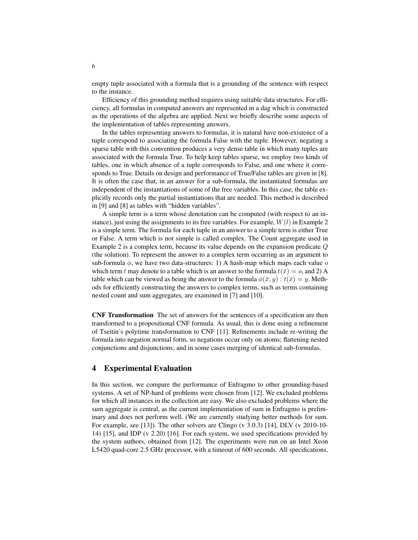empty tuple associated with a formula that is a grounding of the sentence with respect to the instance.

Efficiency of this grounding method requires using suitable data structures. For efficiency, all formulas in computed answers are represented in a dag which is constructed as the operations of the algebra are applied. Next we briefly describe some aspects of the implementation of tables representing answers.

In the tables representing answers to formulas, it is natural have non-existence of a tuple correspond to associating the formula False with the tuple. However, negating a sparse table with this convention produces a very dense table in which many tuples are associated with the formula True. To help keep tables sparse, we employ two kinds of tables, one in which absence of a tuple corresponds to False, and one where it corresponds to True. Details on design and performance of True/False tables are given in [8]. It is often the case that, in an answer for a sub-formula, the instantiated formulas are independent of the instantiations of some of the free variables. In this case, the table explicitly records only the partial instantiations that are needed. This method is described in [9] and [8] as tables with "hidden variables".

A simple term is a term whose denotation can be computed (with respect to an instance), just using the assignments to its free variables. For example,  $W(l)$  in Example 2 is a simple term. The formula for each tuple in an answer to a simple term is either True or False. A term which is not simple is called complex. The Count aggregate used in Example 2 is a complex term, because its value depends on the expansion predicate Q (the solution). To represent the answer to a complex term occurring as an argument to sub-formula  $\phi$ , we have two data-structures: 1) A hash-map which maps each value o which term t may denote to a table which is an answer to the formula  $t(\bar{x}) = o$ , and 2) A table which can be viewed as being the answer to the formula  $\phi(\bar{x}, y) : t(\bar{x}) = y$ . Methods for efficiently constructing the answers to complex terms, such as terms containing nested count and sum aggregates, are examined in [7] and [10].

CNF Transformation The set of answers for the sentences of a specification are then transformed to a propositional CNF formula. As usual, this is done using a refinement of Tseitin's polytime transformation to CNF [11]. Refinements include re-writing the formula into negation normal form, so negations occur only on atoms; flattening nested conjunctions and disjunctions; and in some cases merging of identical sub-formulas.

# 4 Experimental Evaluation

In this section, we compare the performance of Enfragmo to other grounding-based systems. A set of NP-hard of problems were chosen from [12]. We excluded problems for which all instances in the collection are easy. We also excluded problems where the sum aggregate is central, as the current implementation of sum in Enfragmo is preliminary and does not perform well. (We are currently studying better methods for sum. For example, see [13]). The other solvers are Clingo (v 3.0.3) [14], DLV (v 2010-10- 14) [15], and IDP (v 2.20) [16]. For each system, we used specifications provided by the system authors, obtained from [12]. The experiments were run on an Intel Xeon L5420 quad-core 2.5 GHz processor, with a timeout of 600 seconds. All specifications,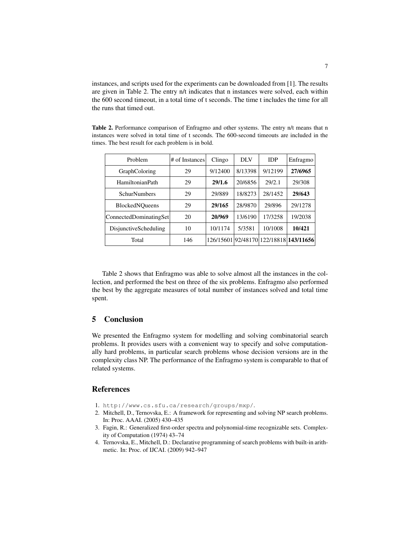instances, and scripts used for the experiments can be downloaded from [1]. The results are given in Table 2. The entry n/t indicates that n instances were solved, each within the 600 second timeout, in a total time of t seconds. The time t includes the time for all the runs that timed out.

| Problem                | # of Instances | Clingo  | DLV     | <b>IDP</b> | Enfragmo                               |
|------------------------|----------------|---------|---------|------------|----------------------------------------|
| <b>GraphColoring</b>   | 29             | 9/12400 | 8/13398 | 9/12199    | 27/6965                                |
| <b>HamiltonianPath</b> | 29             | 29/1.6  | 20/6856 | 29/2.1     | 29/308                                 |
| <b>SchurNumbers</b>    | 29             | 29/889  | 18/8273 | 28/1452    | 29/643                                 |
| <b>BlockedNOueens</b>  | 29             | 29/165  | 28/9870 | 29/896     | 29/1278                                |
| ConnectedDominatingSet | 20             | 20/969  | 13/6190 | 17/3258    | 19/2038                                |
| DisjunctiveScheduling  | 10             | 10/1174 | 5/3581  | 10/1008    | 10/421                                 |
| Total                  | 146            |         |         |            | 126/15601 92/48170 122/18818 143/11656 |

Table 2. Performance comparison of Enfragmo and other systems. The entry n/t means that n instances were solved in total time of t seconds. The 600-second timeouts are included in the times. The best result for each problem is in bold.

Table 2 shows that Enfragmo was able to solve almost all the instances in the collection, and performed the best on three of the six problems. Enfragmo also performed the best by the aggregate measures of total number of instances solved and total time spent.

# 5 Conclusion

We presented the Enfragmo system for modelling and solving combinatorial search problems. It provides users with a convenient way to specify and solve computationally hard problems, in particular search problems whose decision versions are in the complexity class NP. The performance of the Enfragmo system is comparable to that of related systems.

# References

- 1. http://www.cs.sfu.ca/research/groups/mxp/.
- 2. Mitchell, D., Ternovska, E.: A framework for representing and solving NP search problems. In: Proc. AAAI. (2005) 430–435
- 3. Fagin, R.: Generalized first-order spectra and polynomial-time recognizable sets. Complexity of Computation (1974) 43–74
- 4. Ternovska, E., Mitchell, D.: Declarative programming of search problems with built-in arithmetic. In: Proc. of IJCAI. (2009) 942–947